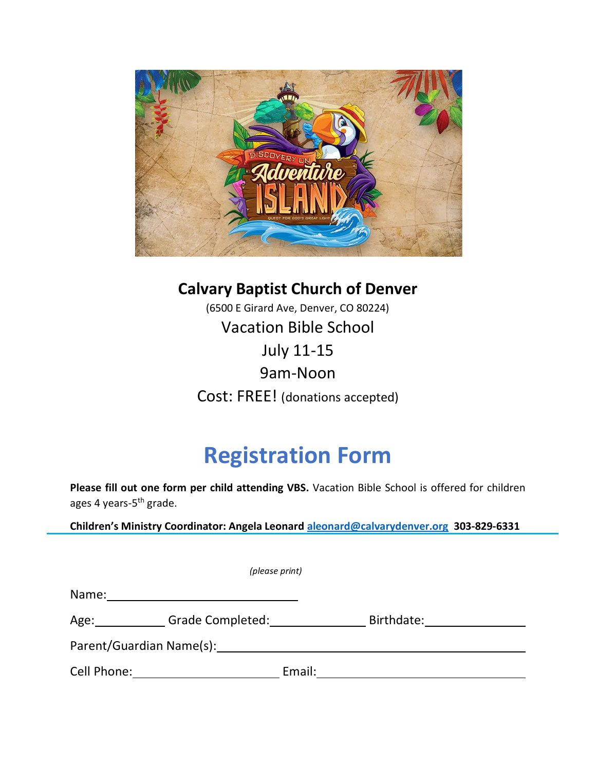

**Calvary Baptist Church of Denver** (6500 E Girard Ave, Denver, CO 80224) Vacation Bible School July 11-15 9am-Noon Cost: FREE! (donations accepted)

## **Registration Form**

**Please fill out one form per child attending VBS.** Vacation Bible School is offered for children ages 4 years-5<sup>th</sup> grade.

**Children's Ministry Coordinator: Angela Leonard [aleonard@calvarydenver.org](mailto:aleonard@calvarydenver.org) 303-829-6331**

|             | (please print)           |            |
|-------------|--------------------------|------------|
| Name:       |                          |            |
| Age:        | Grade Completed:         | Birthdate: |
|             | Parent/Guardian Name(s): |            |
| Cell Phone: | Email:                   |            |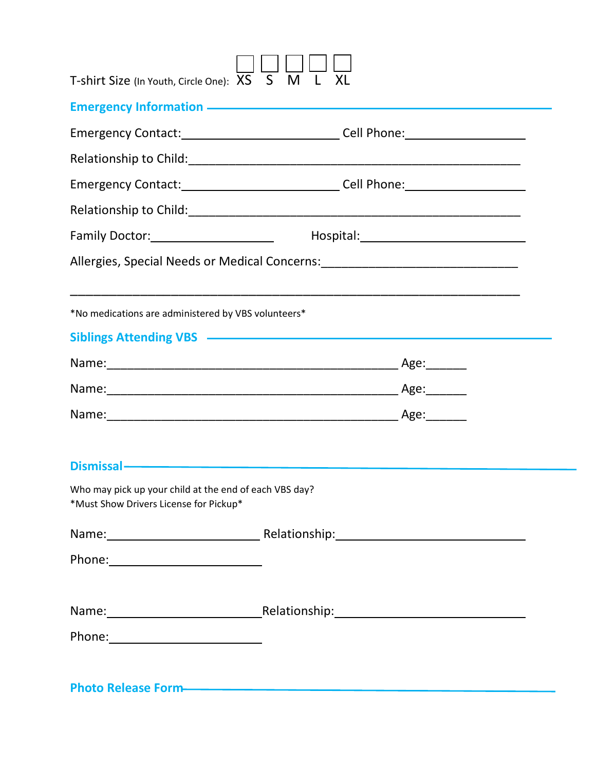| T-shirt Size (In Youth, Circle One): XS S M L                                                                                                                                                                                    | XL |  |
|----------------------------------------------------------------------------------------------------------------------------------------------------------------------------------------------------------------------------------|----|--|
| Emergency Information - The Context of the Context of the Context of the Context of the Context of the Context of the Context of the Context of the Context of the Context of the Context of the Context of the Context of the   |    |  |
| Emergency Contact:______________________________Cell Phone:_____________________                                                                                                                                                 |    |  |
|                                                                                                                                                                                                                                  |    |  |
| Emergency Contact: Canadian Contact: Cell Phone: Cell Phone:                                                                                                                                                                     |    |  |
|                                                                                                                                                                                                                                  |    |  |
|                                                                                                                                                                                                                                  |    |  |
| Allergies, Special Needs or Medical Concerns: __________________________________                                                                                                                                                 |    |  |
| *No medications are administered by VBS volunteers*                                                                                                                                                                              |    |  |
| Siblings Attending VBS - The Contract of the Contract of the Contract of the Contract of the Contract of the Contract of the Contract of the Contract of the Contract of the Contract of the Contract of the Contract of the C   |    |  |
|                                                                                                                                                                                                                                  |    |  |
|                                                                                                                                                                                                                                  |    |  |
| Name: Age: 1990 - Age: 1990 - Age: 1990 - Age: 1990 - Age: 1990 - Age: 1990 - Age: 1990 - Age: 1990 - Age: 1990 - Age: 1990 - Age: 1990 - Age: 1990 - Age: 1990 - Age: 1990 - Age: 1990 - Age: 1990 - Age: 1990 - Age: 1990 -    |    |  |
| Dismissal ——————————————————————                                                                                                                                                                                                 |    |  |
| Who may pick up your child at the end of each VBS day?<br>*Must Show Drivers License for Pickup*                                                                                                                                 |    |  |
|                                                                                                                                                                                                                                  |    |  |
|                                                                                                                                                                                                                                  |    |  |
| Name: Name: Name: Name: Name: Name: Name: Name: Name: Name: Name: Name: Name: Name: Name: Name: Name: Name: Name: Name: Name: Name: Name: Name: Name: Name: Name: Name: Name: Name: Name: Name: Name: Name: Name: Name: Name:    |    |  |
|                                                                                                                                                                                                                                  |    |  |
| Photo Release Form-<br>The Contract of the Contract of the Contract of the Contract of the Contract of the Contract of the Contract of the Contract of the Contract of the Contract of the Contract of the Contract of the Contr |    |  |